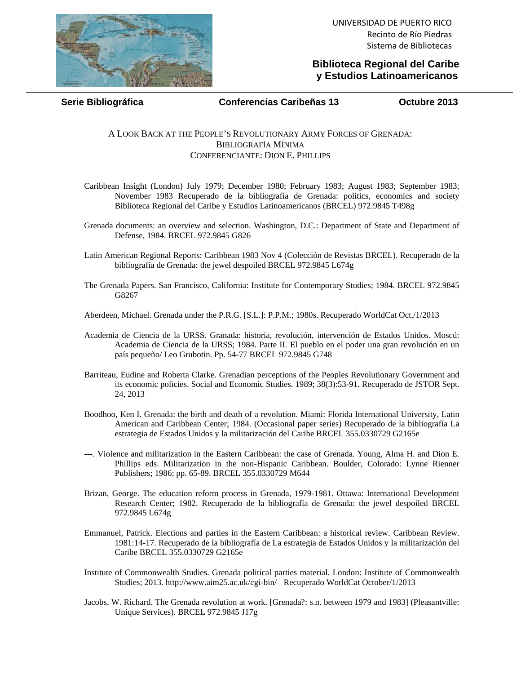

## **Biblioteca Regional del Caribe y Estudios Latinoamericanos**

**Serie Bibliográfica Conferencias Caribeñas 13 Octubre 2013** 

## A LOOK BACK AT THE PEOPLE'S REVOLUTIONARY ARMY FORCES OF GRENADA: BIBLIOGRAFÍA MÍNIMA CONFERENCIANTE: DION E. PHILLIPS

- Caribbean Insight (London) July 1979; December 1980; February 1983; August 1983; September 1983; November 1983 Recuperado de la bibliografía de Grenada: politics, economics and society Biblioteca Regional del Caribe y Estudios Latinoamericanos (BRCEL) 972.9845 T498g
- Grenada documents: an overview and selection. Washington, D.C.: Department of State and Department of Defense, 1984. BRCEL 972.9845 G826
- Latin American Regional Reports: Caribbean 1983 Nov 4 (Colección de Revistas BRCEL). Recuperado de la bibliografía de Grenada: the jewel despoiled BRCEL 972.9845 L674g
- The Grenada Papers. San Francisco, California: Institute for Contemporary Studies; 1984. BRCEL 972.9845 G8267
- Aberdeen, Michael. Grenada under the P.R.G. [S.L.]: P.P.M.; 1980s. Recuperado WorldCat Oct./1/2013
- Academia de Ciencia de la URSS. Granada: historia, revolución, intervención de Estados Unidos. Moscú: Academia de Ciencia de la URSS; 1984. Parte II. El pueblo en el poder una gran revolución en un país pequeño/ Leo Grubotin. Pp. 54-77 BRCEL 972.9845 G748
- Barriteau, Eudine and Roberta Clarke. Grenadian perceptions of the Peoples Revolutionary Government and its economic policies. Social and Economic Studies. 1989; 38(3):53-91. Recuperado de JSTOR Sept. 24, 2013
- Boodhoo, Ken I. Grenada: the birth and death of a revolution. Miami: Florida International University, Latin American and Caribbean Center; 1984. (Occasional paper series) Recuperado de la bibliografía La estrategia de Estados Unidos y la militarización del Caribe BRCEL 355.0330729 G2165e
- ---. Violence and militarization in the Eastern Caribbean: the case of Grenada. Young, Alma H. and Dion E. Phillips eds. Militarization in the non-Hispanic Caribbean. Boulder, Colorado: Lynne Rienner Publishers; 1986; pp. 65-89. BRCEL 355.0330729 M644
- Brizan, George. The education reform process in Grenada, 1979-1981. Ottawa: International Development Research Center; 1982. Recuperado de la bibliografía de Grenada: the jewel despoiled BRCEL 972.9845 L674g
- Emmanuel, Patrick. Elections and parties in the Eastern Caribbean: a historical review. Caribbean Review. 1981:14-17. Recuperado de la bibliografía de La estrategia de Estados Unidos y la militarización del Caribe BRCEL 355.0330729 G2165e
- Institute of Commonwealth Studies. Grenada political parties material. London: Institute of Commonwealth Studies; 2013. http://www.aim25.ac.uk/cgi-bin/ Recuperado WorldCat October/1/2013
- Jacobs, W. Richard. The Grenada revolution at work. [Grenada?: s.n. between 1979 and 1983] (Pleasantville: Unique Services). BRCEL 972.9845 J17g